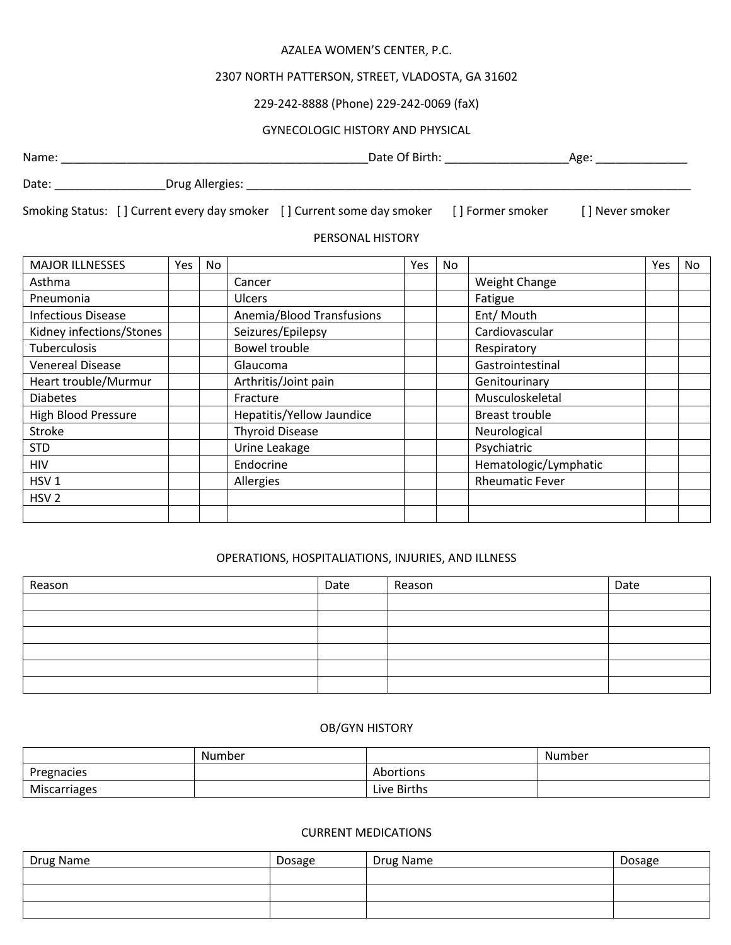#### AZALEA WOMEN'S CENTER, P.C.

# 2307 NORTH PATTERSON, STREET, VLADOSTA, GA 31602

## 229-242-8888 (Phone) 229-242-0069 (faX)

### GYNECOLOGIC HISTORY AND PHYSICAL

Name: \_\_\_\_\_\_\_\_\_\_\_\_\_\_\_\_\_\_\_\_\_\_\_\_\_\_\_\_\_\_\_\_\_\_\_\_\_\_\_\_\_\_\_\_\_\_\_Date Of Birth: \_\_\_\_\_\_\_\_\_\_\_\_\_\_\_\_\_\_\_Age: \_\_\_\_\_\_\_\_\_\_\_\_\_\_

Date: \_\_\_\_\_\_\_\_\_\_\_\_\_\_\_\_\_\_\_\_\_\_\_\_\_\_Drug Allergies: \_\_\_\_\_\_\_\_\_\_\_\_\_\_\_\_\_\_\_\_\_\_\_\_\_\_\_\_\_\_\_\_

Smoking Status: [] Current every day smoker [] Current some day smoker [] Former smoker [] Never smoker

### PERSONAL HISTORY

| <b>MAJOR ILLNESSES</b>     | Yes | No |                           | Yes | No |                        | <b>Yes</b> | No |
|----------------------------|-----|----|---------------------------|-----|----|------------------------|------------|----|
| Asthma                     |     |    | Cancer                    |     |    | Weight Change          |            |    |
| Pneumonia                  |     |    | <b>Ulcers</b>             |     |    | Fatigue                |            |    |
| <b>Infectious Disease</b>  |     |    | Anemia/Blood Transfusions |     |    | Ent/ Mouth             |            |    |
| Kidney infections/Stones   |     |    | Seizures/Epilepsy         |     |    | Cardiovascular         |            |    |
| Tuberculosis               |     |    | Bowel trouble             |     |    | Respiratory            |            |    |
| <b>Venereal Disease</b>    |     |    | Glaucoma                  |     |    | Gastrointestinal       |            |    |
| Heart trouble/Murmur       |     |    | Arthritis/Joint pain      |     |    | Genitourinary          |            |    |
| <b>Diabetes</b>            |     |    | Fracture                  |     |    | Musculoskeletal        |            |    |
| <b>High Blood Pressure</b> |     |    | Hepatitis/Yellow Jaundice |     |    | <b>Breast trouble</b>  |            |    |
| <b>Stroke</b>              |     |    | <b>Thyroid Disease</b>    |     |    | Neurological           |            |    |
| <b>STD</b>                 |     |    | Urine Leakage             |     |    | Psychiatric            |            |    |
| <b>HIV</b>                 |     |    | Endocrine                 |     |    | Hematologic/Lymphatic  |            |    |
| HSV <sub>1</sub>           |     |    | Allergies                 |     |    | <b>Rheumatic Fever</b> |            |    |
| HSV <sub>2</sub>           |     |    |                           |     |    |                        |            |    |
|                            |     |    |                           |     |    |                        |            |    |

### OPERATIONS, HOSPITALIATIONS, INJURIES, AND ILLNESS

| Reason | Date | Reason | Date |
|--------|------|--------|------|
|        |      |        |      |
|        |      |        |      |
|        |      |        |      |
|        |      |        |      |
|        |      |        |      |
|        |      |        |      |

#### OB/GYN HISTORY

|              | Number |             | Number |
|--------------|--------|-------------|--------|
| Pregnacies   |        | Abortions   |        |
| Miscarriages |        | Live Births |        |

#### CURRENT MEDICATIONS

| Drug Name | Dosage | Drug Name | Dosage |
|-----------|--------|-----------|--------|
|           |        |           |        |
|           |        |           |        |
|           |        |           |        |